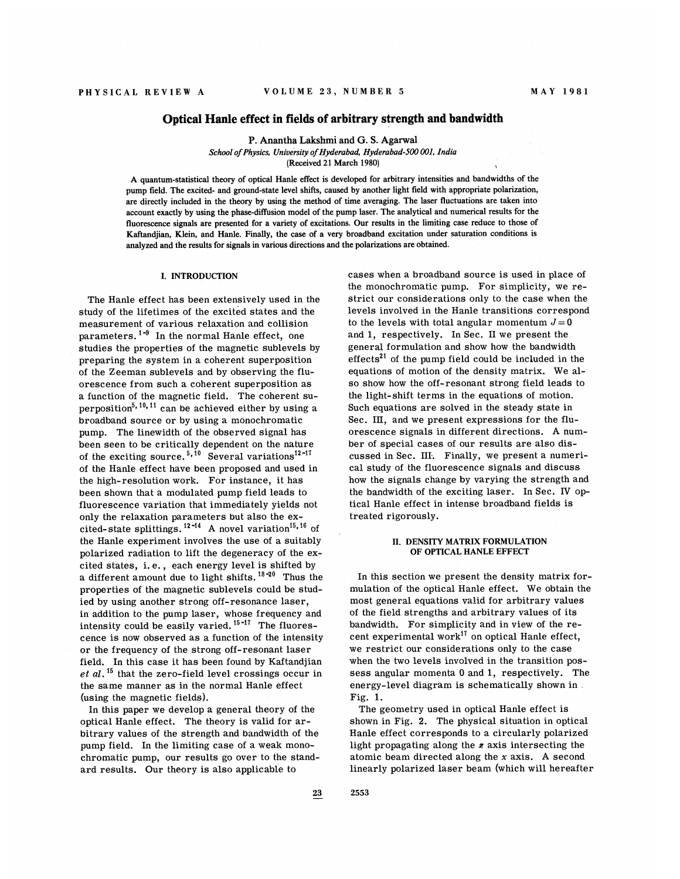## Optical Hanle effect in fields of arbitrary strength and bandwidth

P. Anantha Lakshmi and G. S. Agarwal School of Physics, University of Hyderabad, Hyderabad-500 001, India

(Received 21 March 1980)

A quantum-statistical theory of optical Hanle effect is developed for arbitrary intensities and bandrvidths of the pump field. The excited- and ground-state level shifts, caused by another light field with appropriate polarization, are directly included in the theory by using the method of time averaging. The laser fluctuations are taken into account exactly by using the phase-diffusion model of the pump laser. The analytical and numerical results for the fluorescence signals are presented for a variety of excitations. Our results in the limiting case reduce to those of Kaftandjian, Klein, and Hanle. Finally, the case of a very broadband excitation under saturation conditions is analyzed and the results for signals in various directions and the polarizations are obtained.

### I. INTRODUCTION

The Hanle effect has been extensively used in the study of the lifetimes of the excited states and the measurement of various relaxation and collision parameters.  $^{1\text{-}9}$  In the normal Hanle effect, one studies the properties of the magnetic sublevels by preparing the system in a coherent superposition of the Zeeman sublevels and by observing the fluorescence from such a coherent superposition as a function of the magnetic field. The coherent su-'perposition<sup>5, 10, 11</sup> can be achieved either by using a broadband source or by using a monochromatic pump. The linewidth of the observed signal has been seen to be critically dependent on the nature of the exciting source.<sup>5,10</sup> Several variations<sup>12-17</sup> of the Hanle effect have been proposed and used in the high-resolution work. For instance, it has been shown that a modulated pump field leads to fluorescence variation that immediately yields not only the relaxation parameters but also the excited-state splittings.<sup>12-14</sup> A novel variation<sup>15, 16</sup> of the Hanle experiment involves the use of a suitably polarized radiation to lift the degeneracy of the excited states, i. e. , each energy level is shifted by a different amount due to light shifts.  $18-20$  Thus the properties of the magnetic sublevels could be studied by using another strong off-resonance laser, in addition to the pump laser, whose frequency and intensity could be easily varied.  $15 - 17$  The fluorescence is now observed as a function of the intensity or the frequency of the strong off-resonant laser field. In this ease it has been found by Kaftandjian  $et \ al.$ <sup>15</sup> that the zero-field level crossings occur in the same manner as in the normal Hanle effect (using the magnetic fields).

In this paper we develop a general theory of the optical Hanle effect. The theory is valid for arbitrary values of the strength and bandwidth of the pump field. In the limiting case of a weak monochromatic pump, our results go over to the standard results. Our theory is also applicable to

cases when a broadband source is used in place of the monochromatic pump. For simplicity, we restrict our considerations only to the case when the levels involved in the Hanle transitions correspond to the levels with total angular momentum  $J=0$ and 1, respectively. In See. II we present the general formulation and show how the bandwidth  $effects<sup>21</sup>$  of the pump field could be included in the equations of motion of the density matrix. We also show how the off-resonant strong field leads to the light-shift terms in the equations of motion. Such equations are solved in the steady state in Sec. III, and we present expressions for the fluorescence signals in different directions. A number of special cases of our results are also discussed in Sec. III. Finally, we present a numerical study of the fluorescence signals and discuss how the signals change by varying the strength and the bandwidth of the exciting laser. In Sec. IV optical Hanle effect in intense broadband fields is treated rigorously.

#### II. DENSITY MATRIX FORMULATION OF OPTICAL HANLE EFFECT

In this section we present the density matrix formulation of the optical Hanle effect. We obtain the most general equations valid for arbitrary values of the field strengths and arbitrary values of its bandwidth. For simplicity and in view of the recent experimental work" on optical Hanle effect, we restrict our considerations only to the ease when the two levels involved in the transition possess angular momenta 0 and 1, respectively. The energy-level diagram is schematically shown in . Fig. 1.

The geometry used in optical Hanle effect is shown in Fig. 2. The physical situation in optical Hanle effect corresponds to a circularly polarized light propagating along the z axis intersecting the atomic beam directed along the  $x$  axis. A second linearly polarized laser beam (which will hereafter

2553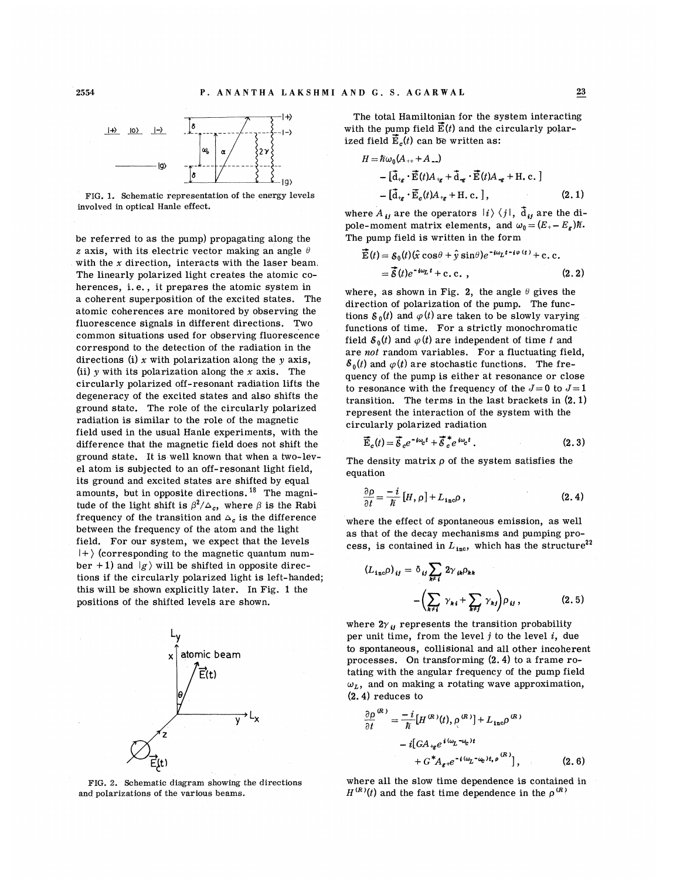

FIG. 1. Schematic representation of the energy levels involved in optical Hanle effect.

be referred to as the pump} propagating along the z axis, with its electric vector making an angle  $\theta$ with the  $x$  direction, interacts with the laser beam. The linearly polarized light creates the atomic coherences, i.e., it prepares the atomic system in a coherent superposition of the excited states. The atomic coherences are monitored by observing the fluorescence signals in different directions. Two common situations used for observing fluorescence correspond to the detection of the radiation in the directions (i) x with polarization along the  $y$  axis, (ii)  $\gamma$  with its polarization along the x axis. The circularly polarized off-resonant radiation lifts the degeneracy of the excited states and also shifts the ground state. The role of the circularly polarized radiation is similar to the role of the magnetic field used in the usual Hanle experiments, with the difference that the magnetic field does not shift the ground state. It is well known that when a two-level atom is subjected to an off-resonant light field, its ground and excited states are shifted by equal amounts, but in opposite directions.  $18$  The magnitude of the light shift is  $\beta^2/\Delta_c$ , where  $\beta$  is the Rabi frequency of the transition and  $\Delta_c$  is the difference between the frequency of the atom and the light field. For our system, we expect that the levels  $|+\rangle$  (corresponding to the magnetic quantum number + 1) and  $|g\rangle$  will be shifted in opposite directions if the circularly polarized light is left-handed; this will be shown explicitly later. In Fig. 1 the positions of the shifted levels are shown.



FIG. 2. Schematic diagram showing the directions and polarizations of the various beams.

The total Hamiltonian for the system interacting with the pump field  $\mathbf{E}(t)$  and the circularly polarized field  $\vec{E}_c(t)$  can be written as:

$$
H = \hbar \omega_0 (A_{++} + A_{--})
$$
  
\n
$$
- [\vec{d}_{+g} \cdot \vec{E}(t) A_{+g} + \vec{d}_{-g} \cdot \vec{E}(t) A_{-g} + H, c.]
$$
  
\n
$$
- [\vec{d}_{+g} \cdot \vec{E}_c(t) A_{+g} + H, c.],
$$
\n(2.1)

where  $A_{ij}$  are the operators  $|i\rangle \langle j|$ ,  $\overline{d}_{ij}$  are the dipole-moment matrix elements, and  $\omega_0 = (E_+ - E_{\rm g})\hbar$ . The pump field is written in the form

$$
\overrightarrow{\mathbf{E}}(t) = \mathcal{E}_0(t)(\hat{x}\cos\theta + \hat{y}\sin\theta)e^{-i\omega_L t - i\varphi(t)} + c.c.\n= \overrightarrow{\mathcal{S}}(t)e^{-i\omega_L t} + c.c.,
$$
\n(2.2)

where, as shown in Fig. 2, the angle  $\theta$  gives the direction of polarization of the pump. The functions  $\delta_0(t)$  and  $\varphi(t)$  are taken to be slowly varying functions of time. For a strictly monochromatic field  $\delta_0(t)$  and  $\varphi(t)$  are independent of time t and are not random variables. For a fluctuating field,  $\delta_0(t)$  and  $\varphi(t)$  are stochastic functions. The frequency of the pump is either at resonance or close to resonance with the frequency of the  $J=0$  to  $J=1$ transition. The terms in the last brackets in (2. 1) represent the interaction of the system with the circularly polarized radiation

$$
\overline{\dot{E}}_c(t) = \overline{\dot{\mathcal{S}}}_c e^{-i\omega_c t} + \overline{\dot{\mathcal{S}}}_c^* e^{i\omega_c t} . \qquad (2.3)
$$

The density matrix  $\rho$  of the system satisfies the equation

$$
\frac{\partial \rho}{\partial t} = \frac{-i}{\hbar} \left[ H, \rho \right] + L_{\text{inc}} \rho \,, \tag{2.4}
$$

where the effect of spontaneous emission, as well as that of the decay mechanisms and pumping process, is contained in  $L_{\text{inc}}$ , which has the structure<sup>22</sup>

$$
(L_{\text{inc}}\rho)_{ij} = \delta_{ij} \sum_{k \neq i} 2\gamma_{ik}\rho_{kk} - \left(\sum_{k \neq i} \gamma_{kj} + \sum_{k \neq j} \gamma_{kj}\right)\rho_{ij},
$$
 (2.5)

where  $2\gamma$   $_{\boldsymbol{i}\boldsymbol{j}}$  represents the transition probabilit per unit time, from the level  $j$  to the level  $i$ , due to spontaneous, collisional and all other incoherent processes. On transforming (2. 4) to a frame rotating with the angular frequency of the pump field  $\omega_L$ , and on making a rotating wave approximation, (2. 4) reduces to

$$
\frac{\partial \rho}{\partial t}^{(R)} = \frac{-i}{\hbar} [H^{(R)}(t), \rho^{(R)}] + L_{\text{inc}} \rho^{(R)}
$$

$$
-i [GA_{\tau g} e^{i(\omega_L - \omega_c)t} + G^* A_{g+} e^{-i(\omega_L - \omega_c)t, \rho^{(R)}}], \qquad (2.6)
$$

where all the slow time dependence is contained in  $H^{(R)}(t)$  and the fast time dependence in the  $\rho^{(R)}$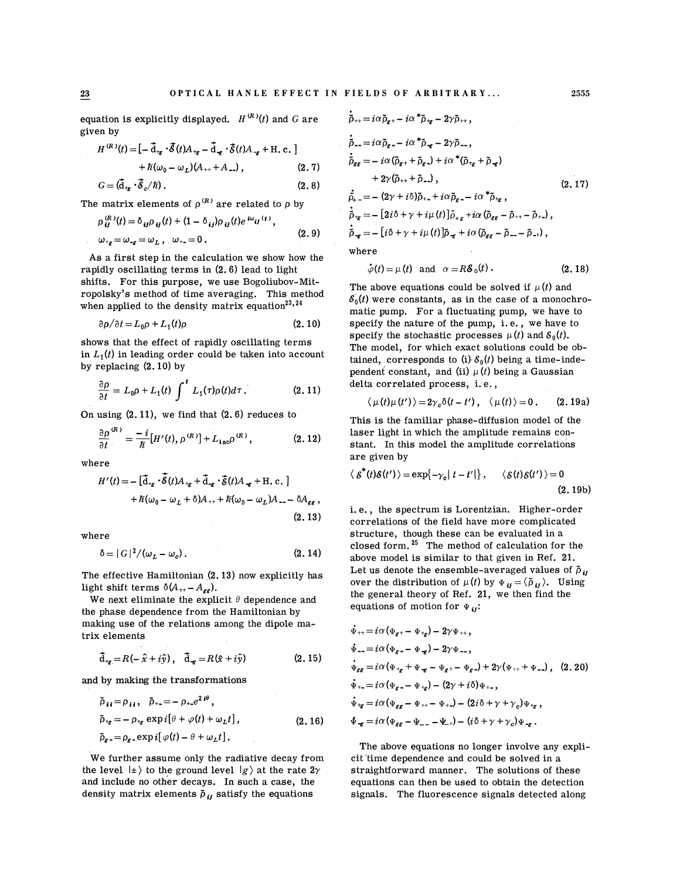equation is explicitly displayed.  $H^{(R)}(t)$  and G are given by

$$
H^{(R)}(t) = \left[ -\overline{\mathbf{d}}_{tg} \cdot \overline{\mathbf{G}}(t) A_{tg} - \overline{\mathbf{d}}_{g} \cdot \overline{\mathbf{G}}(t) A_{-g} + \text{H. c.} \right] + \overline{n}(\omega_0 - \omega_L) (A_{++} + A_{--}), \qquad (2.7)
$$

$$
G = (\vec{\mathbf{d}}_{+g} \cdot \vec{\mathcal{E}}_{c}/\hbar). \tag{2.8}
$$

The matrix elements of  $\rho^{\,(R)}$  are related to  $\rho$  by

$$
\rho_{ij}^{(R)}(t) = \delta_{ij}\rho_{ij}(t) + (1 - \delta_{ij})\rho_{ij}(t)e^{i\omega_{ij}(t)},
$$
  
\n
$$
\omega_{*g} = \omega_{-g} = \omega_{L}, \quad \omega_{+-} = 0.
$$
 (2.9)

As a first step in the calculation we show how the rapidly oscillating terms in (2. 6) lead to light shifts. For this purpose, we use Bogoliubov-Mitropolsky's method of time averaging. This method when applied to the density matrix equation  $2^{3,24}$ 

$$
\partial \rho / \partial t = L_0 \rho + L_1(t) \rho \tag{2.10}
$$

shows that the effect of rapidly oscillating terms in  $L_1(t)$  in leading order could be taken into account by replacing (2. 10) by

$$
\frac{\partial \rho}{\partial t} = L_0 \rho + L_1(t) \int^t L_1(\tau) \rho(t) d\tau. \tag{2.11}
$$

On using  $(2.11)$ , we find that  $(2.6)$  reduces to

$$
\frac{\partial \rho}{\partial t}^{(R)} = -\frac{i}{\hbar} [H'(t), \rho^{(R)}] + L_{\text{inc}} \rho^{(R)}, \qquad (2.12)
$$

where

 $\sim$ 

$$
H'(t) = -\left[\vec{\mathbf{d}}_{+g} \cdot \vec{\mathbf{c}}(t) A_{+g} + \vec{\mathbf{d}}_{-g} \cdot \vec{\mathbf{c}}(t) A_{-g} + \text{H.c.}\right] + \hbar(\omega_0 - \omega_L + \delta) A_{++} + \hbar(\omega_0 - \omega_L) A_{--} - \delta A_{gg},
$$
\n(2.13)

where

$$
\delta = |G|^2 / (\omega_L - \omega_c). \tag{2.14}
$$

The effective Hamiltonian (2. 13) now explicitly has light shift terms  $\delta(A_{++}-A_{ee}).$ 

We next eliminate the explicit  $\theta$  dependence and the phase dependence from the Hamiltonian by making use of the relations among the dipole matrix elements

$$
\vec{\mathbf{d}}_{\mathbf{fg}} = R(-\hat{x} + i\hat{y}), \quad \vec{\mathbf{d}}_{\mathbf{g}} = R(\hat{x} + i\hat{y}) \tag{2.15}
$$

and by making the transformations

$$
\tilde{\rho}_{ij} = \rho_{ij}, \quad \tilde{\rho}_{+-} = -\rho_{+-} e^{2i\theta}, \n\tilde{\rho}_{+g} = -\rho_{+g} \exp i[\theta + \varphi(t) + \omega_L t], \qquad (2.16)\n\tilde{\rho}_{g} = -\rho_{g} \exp i[\varphi(t) - \theta + \omega_L t].
$$

We further assume only the radiative decay from the level  $| \pm \rangle$  to the ground level  $| g \rangle$  at the rate  $2\gamma$ and include no other decays. In such a ease, the density matrix elements  $\tilde{\rho}_{ij}$  satisfy the equation

$$
\dot{\tilde{\rho}}_{++} = i\alpha \tilde{\rho}_{g+} - i\alpha^* \tilde{\rho}_{+g} - 2\gamma \tilde{\rho}_{++},
$$
\n
$$
\dot{\tilde{\rho}}_{--} = i\alpha \tilde{\rho}_{g-} - i\alpha^* \tilde{\rho}_{-g} - 2\gamma \tilde{\rho}_{--},
$$
\n
$$
\dot{\tilde{\rho}}_{gg} = -i\alpha (\tilde{\rho}_{g+} + \tilde{\rho}_{g-}) + i\alpha^* (\tilde{\rho}_{+g} + \tilde{\rho}_{-g})
$$
\n
$$
+ 2\gamma (\tilde{\rho}_{++} + \tilde{\rho}_{--}), \qquad (2.17)
$$
\n
$$
\dot{\tilde{\rho}}_{+} = - (2\gamma + i\delta) \tilde{\rho}_{+-} + i\alpha \tilde{\rho}_{g-} - i\alpha^* \tilde{\rho}_{+g},
$$
\n
$$
\dot{\tilde{\rho}}_{+g} = - [2i\delta + \gamma + i\mu(t)] \tilde{\rho}_{+g} + i\alpha (\tilde{\rho}_{gg} - \tilde{\rho}_{++} - \tilde{\rho}_{+-}),
$$
\n
$$
\dot{\tilde{\rho}}_{-g} = - [i\delta + \gamma + i\mu(t)] \tilde{\rho}_{-g} + i\alpha (\tilde{\rho}_{gg} - \tilde{\rho}_{--} - \tilde{\rho}_{-+}),
$$
\nwhere

where

$$
\dot{\varphi}(t) = \mu(t) \text{ and } \alpha = R\delta_0(t). \qquad (2.18)
$$

The above equations could be solved if  $\mu(t)$  and  $\mathcal{S}_0(t)$  were constants, as in the case of a monochromatic pump. For a fluctuating pump, we have to specify the nature of the pump, i. e. , we have to specify the stochastic processes  $\mu(t)$  and  $\delta_0(t)$ . The model, for which exact solutions could be obtained, corresponds to (i)  $\mathcal{S}_0(t)$  being a time-independent constant, and (ii)  $\mu(t)$  being a Gaussian delta correlated process, i. e. ,

$$
\langle \mu(t)\mu(t')\rangle = 2\gamma_c \delta(t-t'), \quad \langle \mu(t)\rangle = 0.
$$
 (2.19a)

This is the familiar phase-diffusion model of the laser light in which the amplitude remains constant. In this model the amplitude correlations are given by

$$
\langle \mathcal{E}^*(t)\mathcal{E}(t')\rangle = \exp\{-\gamma_c |t-t'|\}, \quad \langle \mathcal{E}(t)\mathcal{E}(t')\rangle = 0
$$
\n(2.19b)

i.e., the spectrum is Lorentzian. Higher-order correlations of the field have more complicated structure, though these can be evaluated in a closed form. <sup>25</sup> The method of calculation for the above model is similar to that given in Ref. 21. Let us denote the ensemble-averaged values of  $\tilde{\rho}_{ij}$ bet as denote the ensemble diverged values of  $p$ <br>over the distribution of  $p(t)$  by  $\Psi_{ij} = \langle \tilde{\rho}_{ij} \rangle$ . Using the general theory of Ref. 21, we then find the equations of motion for  $\Psi_{ii}$ :

$$
\begin{aligned}\n\dot{\Psi}_{++} &= i\alpha(\Psi_g + \Psi_{+g}) - 2\gamma\Psi_{++}, \\
\dot{\Psi}_{--} &= i\alpha(\Psi_g - \Psi_{-g}) - 2\gamma\Psi_{--}, \\
\dot{\Psi}_{gg} &= i\alpha(\Psi_{+g} + \Psi_{-g} - \Psi_{g} + \Psi_{g} - \Psi_{g}) + 2\gamma(\Psi_{++} + \Psi_{--}), \quad (2.20) \\
\dot{\Psi}_{+-} &= i\alpha(\Psi_g - \Psi_{+g}) - (2\gamma + i\delta)\Psi_{+-}, \\
\dot{\Psi}_{+g} &= i\alpha(\Psi_{gg} - \Psi_{++} - \Psi_{+-}) - (2i\delta + \gamma + \gamma_g)\Psi_{-g} , \\
\Psi_{-g} &= i\alpha(\Psi_{gg} - \Psi_{--} - \Psi_{+}) - (i\delta + \gamma + \gamma_g)\Psi_{-g} .\n\end{aligned}
$$

The above equations no longer involve any explicit time dependence and could be solved in a straightforward manner. The solutions of these equations ean then be used to obtain the detection signals. The fluorescence signals detected along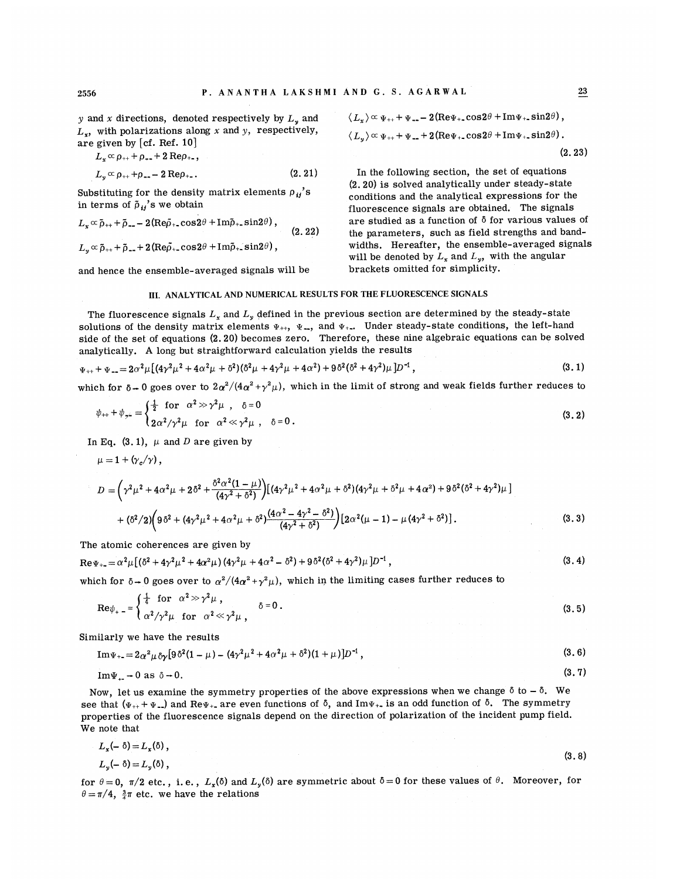y and x directions, denoted respectively by  $L<sub>v</sub>$  and  $L<sub>r</sub>$ , with polarizations along x and y, respectively, are given by [cf. Ref. 10]

 $L_{x} \propto \rho_{++} + \rho_{--} + 2 \text{Re} \rho_{+-}$ ,

$$
L_{y} \propto \rho_{++} + \rho_{--} - 2 \text{Re} \rho_{+-}.
$$
 (2.21)

Substituting for the density matrix elements  $\rho_{ii}$ 's in terms of  $\tilde{\rho}_{ij}$ 's we obtain

$$
L_x \propto \tilde{\rho}_{++} + \tilde{\rho}_{--} - 2(\text{Re}\tilde{\rho}_{+-}\cos 2\theta + \text{Im}\tilde{\rho}_{+-}\sin 2\theta),
$$
\n(2.22)

$$
L_y \propto \tilde{\rho}_{++} + \tilde{\rho}_{--} + 2(\text{Re}\rho_{+-}\cos 2\theta + \text{Im}\rho_{+-}\sin 2\theta),
$$

and hence the ensemble-averaged signals will be

$$
\langle L_x \rangle \propto \Psi_{++} + \Psi_{--} - 2(\text{Re}\Psi_{+-}\cos 2\theta + \text{Im}\Psi_{+-}\sin 2\theta),
$$
  

$$
\langle L_y \rangle \propto \Psi_{++} + \Psi_{--} + 2(\text{Re}\Psi_{+-}\cos 2\theta + \text{Im}\Psi_{+-}\sin 2\theta).
$$
  
(2.23)

In the following section, the set of equations (2. 20) is solved analytically under steady-state conditions and the analytical expressions for the fluorescence signals are obtained. The signals are studied as a function of  $\delta$  for various values of the parameters, such as field strengths and bandwidths. Hereafter, the ensemble-averaged signals will be denoted by  $L_x$  and  $L_y$ , with the angular brackets omitted for simplicity.

# III. ANALYTICAL AND NUMERICAL RESULTS FOR THE FLUORESCENCE SIGNALS

The fluorescence signals  $L_x$  and  $L_y$  defined in the previous section are determined by the steady-state solutions of the density matrix elements  $\Psi_{++}$ ,  $\Psi_{-}$ , and  $\Psi_{+-}$ . Under steady-state conditions, the left-hand side of the set of equations (2. 20) becomes zero. Therefore, these nine algebraic equations can be solved analytically. A long but straightforward calculation yields the results

$$
\Psi_{++} + \Psi_{--} = 2\alpha^2 \mu \left[ (4\gamma^2 \mu^2 + 4\alpha^2 \mu + \delta^2)(\delta^2 \mu + 4\gamma^2 \mu + 4\alpha^2) + 9\delta^2(\delta^2 + 4\gamma^2)\mu \right] D^{-1},\tag{3.1}
$$

which for  $\delta \to 0$  goes over to  $2\alpha^2/(4\alpha^2+\gamma^2\mu)$ , which in the limit of strong and weak fields further reduces to

$$
\psi_{++} + \psi_{\gamma} = \begin{cases} \frac{1}{2} & \text{for } \alpha^2 > \gamma^2 \mu \\ 2\alpha^2/\gamma^2 \mu & \text{for } \alpha^2 < \gamma^2 \mu \end{cases} \quad \delta = 0 \tag{3.2}
$$

In Eq. (3.1),  $\mu$  and D are given by

 $\mu = 1 + (\gamma_c/\gamma)$ ,

$$
D = \left(\gamma^2 \mu^2 + 4\alpha^2 \mu + 2\delta^2 + \frac{\delta^2 \alpha^2 (1 - \mu)}{(4\gamma^2 + \delta^2)}\right) \left[ (4\gamma^2 \mu^2 + 4\alpha^2 \mu + \delta^2)(4\gamma^2 \mu + \delta^2 \mu + 4\alpha^2) + 9\delta^2 (\delta^2 + 4\gamma^2) \mu \right] + (\delta^2/2) \left(9\delta^2 + (4\gamma^2 \mu^2 + 4\alpha^2 \mu + \delta^2)\frac{(4\alpha^2 - 4\gamma^2 - \delta^2)}{(4\gamma^2 + \delta^2)}\right) \left[2\alpha^2 (\mu - 1) - \mu (4\gamma^2 + \delta^2)\right].
$$
 (3.3)

The atomic coherences are given by

$$
\text{Re}\,\Psi_{+} = \alpha^2 \mu \left[ \left( \delta^2 + 4\gamma^2 \mu^2 + 4\alpha^2 \mu \right) \left( 4\gamma^2 \mu + 4\alpha^2 - \delta^2 \right) + 9\,\delta^2 \left( \delta^2 + 4\gamma^2 \right) \mu \right] D^{-1} \,,\tag{3.4}
$$

which for  $\delta \to 0$  goes over to  $\alpha^2/(4\alpha^2+\gamma^2\mu)$ , which in the limiting cases further reduces to

$$
\operatorname{Re}\psi_{+} = \begin{cases} \frac{1}{4} & \text{for } \alpha^2 \gg \gamma^2 \mu \\ \alpha^2/\gamma^2 \mu & \text{for } \alpha^2 \ll \gamma^2 \mu \end{cases}, \qquad \delta = 0.
$$
 (3.5)

Similarly we have the results

$$
\operatorname{Im}\Psi_{+-} = 2\alpha^2\mu\,\delta\gamma\big[9\,\delta^2(1-\mu) - (4\gamma^2\mu^2 + 4\alpha^2\mu + \delta^2)(1+\mu)\big]D^{-1}\,,\tag{3.6}
$$

$$
Im\Psi_{+-} \to 0 \text{ as } \delta \to 0. \tag{3.7}
$$

Now, let us examine the symmetry properties of the above expressions when we change  $\delta$  to  $-\delta$ . We see that ( $\Psi_{++} + \Psi_{--}$ ) and Re $\Psi_{+-}$  are even functions of  $\delta$ , and Im $\Psi_{+-}$  is an odd function of  $\delta$ . The symmetry properties of the fluorescence signals depend on the direction of polarization of the incident pump field. We note that

$$
L_x(-\delta) = L_x(\delta),
$$
  
\n
$$
L_y(-\delta) = L_y(\delta),
$$
\n(3.8)

for  $\theta = 0$ ,  $\pi/2$  etc., i.e.,  $L_x(\delta)$  and  $L_y(\delta)$  are symmetric about  $\delta = 0$  for these values of  $\theta$ . Moreover, for  $\theta=\pi/4$ ,  $\frac{3}{4}\pi$  etc. we have the relations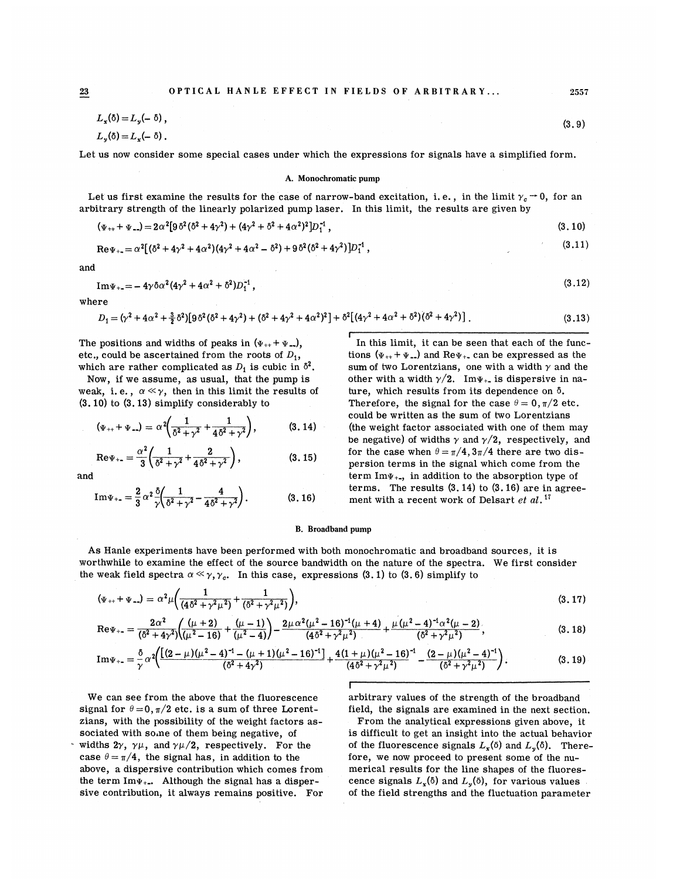$$
L_x(\delta) = L_y(-\delta),
$$
  

$$
L_y(\delta) = L_x(-\delta).
$$

Let us now consider some special cases under which the expressions for signals have a simplified form.

#### A. Monochromatic pump

Let us first examine the results for the case of narrow-band excitation, i.e., in the limit  $\gamma_c \rightarrow 0,$  for an arbitrary strength of the linearly polarized pump laser. In this limit, the results are given by

$$
(\Psi_{++} + \Psi_{--}) = 2\alpha^2 [9\delta^2 (\delta^2 + 4\gamma^2) + (4\gamma^2 + \delta^2 + 4\alpha^2)^2] D_1^{-1}, \qquad (3.10)
$$

$$
\text{Re}\Psi_{+} = \alpha^2 [(\delta^2 + 4\gamma^2 + 4\alpha^2)(4\gamma^2 + 4\alpha^2 - \delta^2) + 9\delta^2(\delta^2 + 4\gamma^2)]D_1^{-1},\tag{3.11}
$$

and

$$
Im\Psi_{+} = -4\gamma \delta \alpha^2 (4\gamma^2 + 4\alpha^2 + \delta^2) D_1^{-1}, \qquad (3.12)
$$

where

$$
D_1 = (\gamma^2 + 4\alpha^2 + \frac{3}{2}\delta^2) [9\delta^2(\delta^2 + 4\gamma^2) + (\delta^2 + 4\gamma^2 + 4\alpha^2)^2] + \delta^2 [(4\gamma^2 + 4\alpha^2 + \delta^2)(\delta^2 + 4\gamma^2)].
$$
\n(3.13)

The positions and widths of peaks in  $(\Psi_{++} + \Psi_{--})$ , etc., could be ascertained from the roots of  $D_1$ , which are rather complicated as  $D_1$  is cubic in  $\delta^2$ .

Now, if we assume, as usual, that the pump is weak, i.e.,  $\alpha \ll \gamma$ , then in this limit the results of (3.10) to (3. 13) simplify considerably to

$$
(\Psi_{++} + \Psi_{--}) = \alpha^2 \left( \frac{1}{\delta^2 + \gamma^2} + \frac{1}{4\delta^2 + \gamma^2} \right), \tag{3.14}
$$

$$
\text{Re}\Psi_{+} = \frac{\alpha^2}{3} \left( \frac{1}{\delta^2 + \gamma^2} + \frac{2}{4\delta^2 + \gamma^2} \right), \tag{3.15}
$$

and

Im
$$
\Psi_{+-} = \frac{2}{3} \alpha^2 \frac{\delta}{\gamma} \left( \frac{1}{\delta^2 + \gamma^2} - \frac{4}{4\delta^2 + \gamma^2} \right).
$$
 (3.16)

I In this limit, it can be seen that each of the functions  $(\Psi_{++} + \Psi_{--})$  and Re $\Psi_{+-}$  can be expressed as the sum of two Lorentzians, one with a width  $\gamma$  and the other with a width  $\gamma/2$ . Im $\Psi_{++}$  is dispersive in nature, which results from its dependence on  $\delta$ . Therefore, the signal for the case  $\theta = 0, \pi/2$  etc. could be written as the sum of two Lorentzians (the weight factor associated with one of them may be negative) of widths  $\gamma$  and  $\gamma/2$ , respectively, and for the case when  $\theta = \pi/4$ ,  $3\pi/4$  there are two dispersion terms in the signal which come from the term  $Im_{\Psi_{+}}$ , in addition to the absorption type of terms. The results  $(3.14)$  to  $(3.16)$  are in agreement with a recent work of Delsart et al.<sup>17</sup>

## B. Broadband pump

As Hanle experiments have been performed with both monochromatic and broadband sources, it is worthwhile to examine the effect of the source bandwidth on the nature of the spectra. We first consider the weak field spectra  $\alpha \ll \gamma, \gamma_c$ . In this case, expressions (3.1) to (3.6) simplify to

$$
(\Psi_{++} + \Psi_{--}) = \alpha^2 \mu \left( \frac{1}{(4\delta^2 + \gamma^2 \mu^2)} + \frac{1}{(\delta^2 + \gamma^2 \mu^2)} \right),
$$
\n(3.17)

$$
\mathrm{Re}\Psi_{+-}=\frac{2\alpha^2}{(6^2+4\gamma^2)}\left(\frac{(\mu+2)}{(\mu^2-16)}+\frac{(\mu-1)}{(\mu^2-4)}\right)-\frac{2\mu\alpha^2(\mu^2-16)^{-1}(\mu+4)}{(4\delta^2+\gamma^2\mu^2)}+\frac{\mu(\mu^2-4)^{-1}\alpha^2(\mu-2)}{(6^2+\gamma^2\mu^2)},\tag{3.18}
$$

Im
$$
\Psi_{+-} = \frac{\delta}{\gamma} \alpha^2 \left( \frac{[(2-\mu)(\mu^2-4)^{-1}-(\mu+1)(\mu^2-16)^{-1}]}{(6^2+4\gamma^2)} + \frac{4(1+\mu)(\mu^2-16)^{-1}}{(4\delta^2+\gamma^2\mu^2)} - \frac{(2-\mu)(\mu^2-4)^{-1}}{(6^2+\gamma^2\mu^2)} \right).
$$
 (3.19)

I

We can see from the above that the fluorescence signal for  $\theta = 0, \pi/2$  etc. is a sum of three Lorentzians, with the possibility of the weight factors associated with some of them being negative, of widths  $2\gamma$ ,  $\gamma\mu$ , and  $\gamma\mu/2$ , respectively. For the

case  $\theta = \pi/4$ , the signal has, in addition to the above, a dispersive contribution which comes from the term  $Im_{\Psi_{++}}$ . Although the signal has a dispersive contribution, it always remains positive. For

arbitrary values of the strength of the broadband field, the signals are examined in the next section.

From the analytical expressions given above, it is difficult to get an insight into the actual behavior of the fluorescence signals  $L<sub>x</sub>(\delta)$  and  $L<sub>y</sub>(\delta)$ . Therefore, we now proceed to present some of the numerical results for the line shapes of the fluorescence signals  $L_x(\delta)$  and  $L_y(\delta)$ , for various values of the field strengths and the fluctuation parameter

2557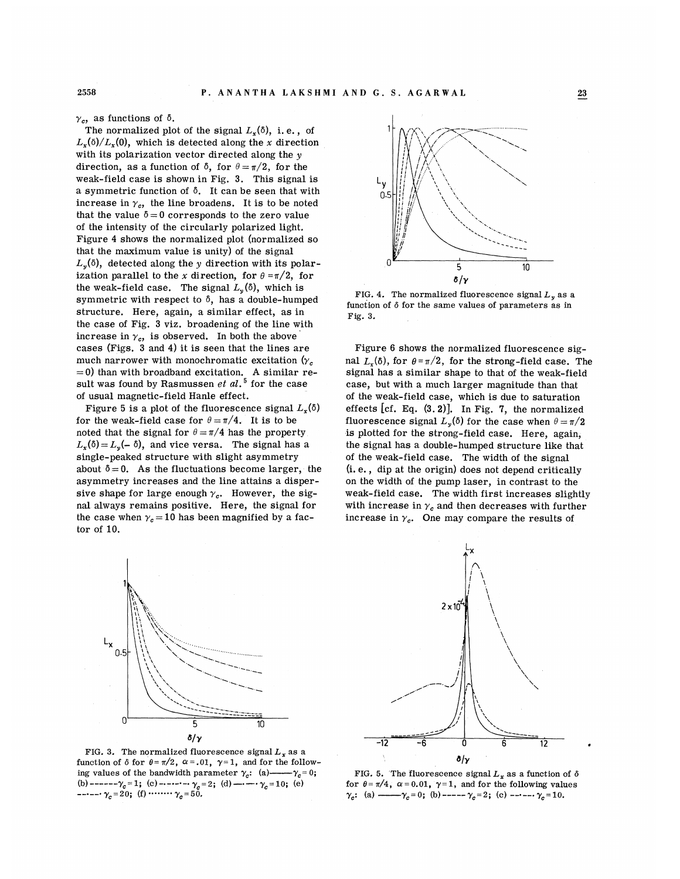$\gamma_c$ , as functions of  $\delta$ .

The normalized plot of the signal  $L_{\mathbf{r}}(\delta)$ , i.e., of  $L_x(\delta)/L_x(0)$ , which is detected along the x direction<br>with its polarization vector directed along the y<br>direction, as a function of  $\delta$ , for  $\theta = \pi/2$ , for the<br>mode field field above in Fig. 2. This circular with its polarization vector directed along the  $\nu$ direction, as a function of  $\delta$ , for  $\theta = \pi/2$ , for the weak-field case is shown in Fig. 3. This signal is a symmetric function of  $\delta$ . It can be seen that with a symmetric function of  $\delta$ . It can be seen that with increase in  $\gamma_{c}$ , the line broadens. It is to be noted that the value  $\delta = 0$  corresponds to the z of the intensity of the circularly polarized light. that the maximum value is unity) of the si Figure 4 shows the normalized plot (normalized so  $v_{\rm g}(\delta)$ , detected along the y direction with i ization parallel to the  $x$  direction the weak-field case. The signal  $L_y(\delta)$ , which is symmetric with respect to  $\delta$ , has a double-hump structure. Here, again, a similar effect, as in the case of Fig. 3 viz. broadening of the line with cases (Figs. 3 and 4) it is seen that the lines are increase in  $\gamma_c$ , is observed. In both the above much narrower with monochromatic excitation ( $\gamma_c$  $=$  0) than with broadband excitation. A lt was found by Rasmussen  $e t$   $a l. ^{\mathbf 5}$  for the case of usual magnetic-field Hanle effect.

Figure 5 is a plot of the fluorescence signal  $L_r(\delta)$ for the weak-field case for  $\theta = \pi/4$ . It is to be noted that the signal for  $\theta = \pi/4$  has the property  $L_{x}(\delta) = L_{y}(-\delta)$ , and vice versa. The signal has a single-peaked structure with slight asymmetry about  $\delta = 0$ . As the fluctuations become larger, the asymmetry increases and the line attains a dispersive shape for large enough  $\gamma_c$ . However, the sigl always remains positive. Here, th the case when  $\gamma_c = 10$  has been magnified by a factor of 10.



 $\delta/\gamma$ 

5

10

Lx  $0.5$ 

 $\Omega$ 



FIG. 4. The normalized fluorescence signal  $L<sub>v</sub>$  as a Fig. 3. function of  $\delta$  for the same values of parameters as in

Figure 6 shows the normalized fluorescence sigsignal has a similar shape to tha nal  $L(\delta)$ , for  $\theta = \pi/2$ , for the strong-field case. The ith a much larger magnitude than that of the weak-field case, which is due to saturation effects  $[cf. Eq. (3.2)]$ . In Fig. 7, the normalized fluorescence signal  $L_y(\delta)$  for the case when  $\theta=\pi/2$ is plotted for the strong-field case. Here, again, the signal has a double-humped structure like that of the weak-field case. The width of the signal i.e., dip at the origin) does not dep idth of the pump laser, in c weak-field case. The width first increases slightly with increase in  $\gamma_c$  and then decreases with further increase in  $\gamma_c$ . One may compare the results of



FIG. 5. The fluorescence signal  $L<sub>x</sub>$  as a function of  $\delta$ for  $\theta = \pi/4$ ,  $\alpha = 0.01$ ,  $\gamma = 1$ , and for the following values  $\gamma_c$ : (a) —— $\gamma_c = 0$ ; (b) ————  $\gamma_c = 2$ ; (c) ————  $\gamma_c = 10$ .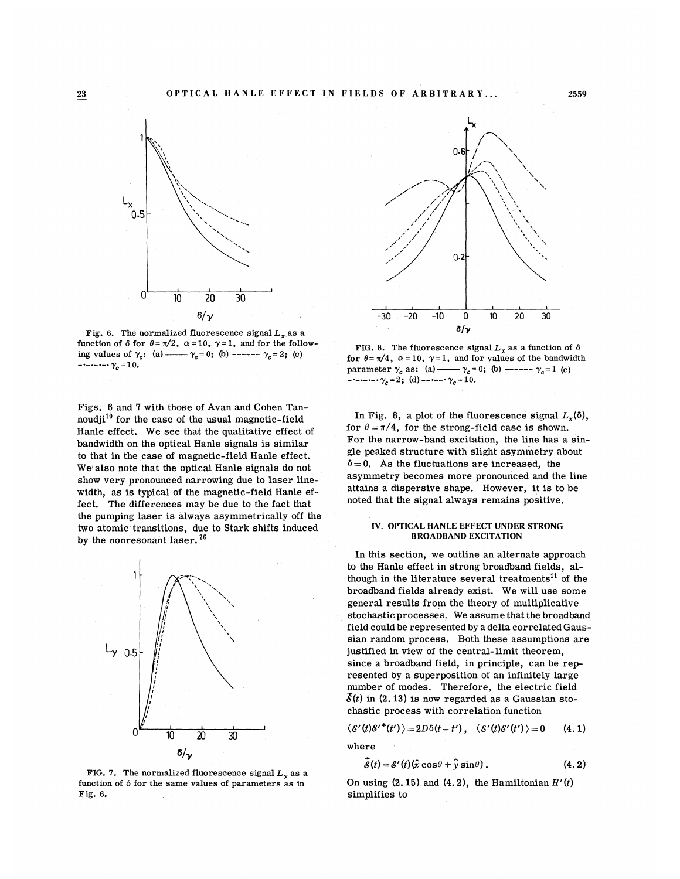

Fig. 6. The normalized fluorescence signal  $L<sub>x</sub>$  as a function of  $\delta$  for  $\theta = \pi/2$ ,  $\alpha = 10$ ,  $\gamma = 1$ , and for the following values of  $\gamma_c$ : (a) ——  $\gamma_c = 0$ ; (b) ------  $\gamma_c = 2$ ; (c)  $-\cdots-\gamma_c = 10.$ 

Figs. 6 and 7 with those of Avan and Cohen Tannoudji $^{10}$  for the case of the usual magnetic-field Hanle effect. We see that the qualitative effect of bandwidth on the optical Hanle signals is similar to that in the case of magnetic-field Hanle effect. We also note that the optical Hanle signals do not show very pronounced narrowing due to laser linewidth, as is typical of the magnetic-field Hanle effect. The differences may be due to the fact that the pumping laser is always asymmetrically off the two atomic transitions, due to Stark shifts induced by the nonresonant laser.  $26$ 



FIG. 7. The normalized fluorescence signal  $L<sub>v</sub>$  as a function of  $\delta$  for the same values of parameters as in Fig. 6.



FIG. 8. The fluorescence signal  $L_x$  as a function of  $\delta$ for  $\theta = \pi/4$ ,  $\alpha = 10$ ,  $\gamma = 1$ , and for values of the bandwidth parameter  $\gamma_c$  as: (a) ——  $\gamma_c = 0$ ; (b) ————  $\gamma_c = 1$  (c)  $-$  - - - - -  $\gamma_c = 2$ ; (d) - - - - -  $\gamma_c = 10$ .

In Fig. 8, a plot of the fluorescence signal  $L_x(\delta)$ , for  $\theta = \pi/4$ , for the strong-field case is shown. For the narrow-band excitation, the line has a single peaked structure with slight asymmetry about  $\delta = 0$ . As the fluctuations are increased, the asymmetry becomes more pronounced and the line attains a dispersive shape. However, it is to be noted that the signal always remains positive.

## IV. OPTICAL HANLE EFFECT UNDER STRONG BROADBAND EXCITATION

In this section, we outline an alternate approach to the Hanle effect in strong broadband fields, although in the literature several treatments<sup>11</sup> of the broadband fields already exist. We will use some general results from the theory of multiplicative stochastic processes. We assume that the broadband field could be represented by a delta correlated Gaussian random process. Both these assumptions are justified in view of the central-limit theorem, since a broadband field, in principle, can be represented by a superposition of an infinitely large number of modes. Therefore, the electric field  $\bar{\delta}(t)$  in (2.13) is now regarded as a Gaussian stochastic process with correlation function

$$
\langle \mathcal{E}'(t)\mathcal{E}'^*(t')\rangle = 2D\delta(t-t'), \quad \langle \mathcal{E}'(t)\mathcal{E}'(t')\rangle = 0 \qquad (4.1)
$$

where

$$
\vec{\mathcal{S}}(t) = \mathcal{S}'(t) (\hat{x} \cos \theta + \hat{y} \sin \theta).
$$
 (4.2)

On using  $(2. 15)$  and  $(4. 2)$ , the Hamiltonian  $H'(t)$ simplifies to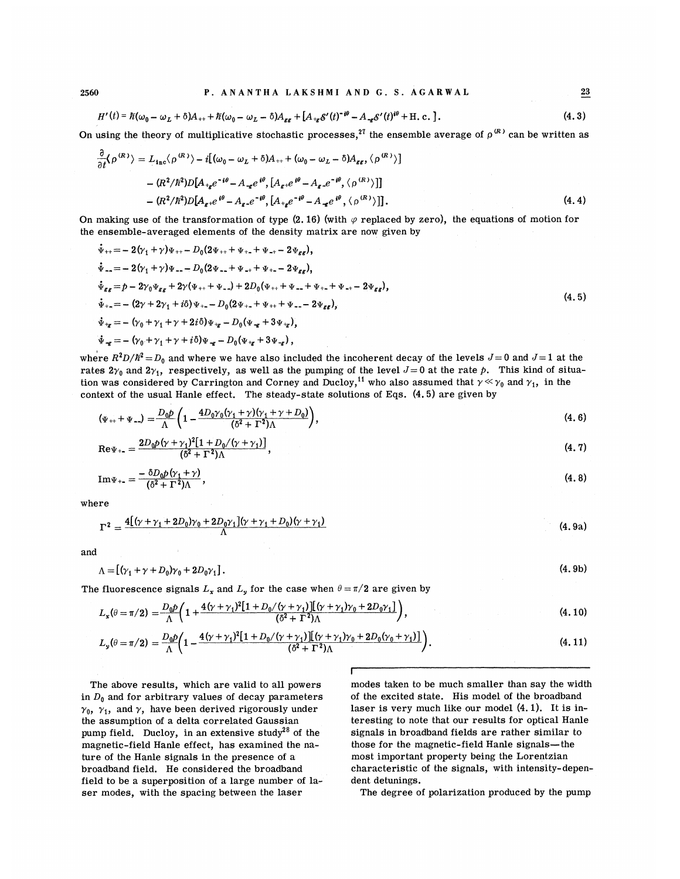$23$ 

$$
H'(t) = \hbar(\omega_0 - \omega_L + \delta)A_{++} + \hbar(\omega_0 - \omega_L - \delta)A_{gg} + [A_{+g}\delta'(t)^{-i\theta} - A_{-g}\delta'(t)^{i\theta} + \text{H.c.}].
$$
\n(4.3)

On using the theory of multiplicative stochastic processes,<sup>27</sup> the ensemble average of  $\rho^{(R)}$  can be written as

$$
\frac{\partial}{\partial t} \langle \rho^{(R)} \rangle = L_{\text{inc}} \langle \rho^{(R)} \rangle - i \left[ (\omega_0 - \omega_L + \delta) A_{++} + (\omega_0 - \omega_L - \delta) A_{\epsilon\epsilon}, \langle \rho^{(R)} \rangle \right]
$$

$$
- (R^2 / \hbar^2) D [A_{+ \epsilon} e^{-i\theta} - A_{- \epsilon} e^{i\theta}, [A_{\epsilon} + e^{i\theta} - A_{\epsilon} - e^{-i\theta}, \langle \rho^{(R)} \rangle ] ]
$$

$$
- (R^2 / \hbar^2) D [A_{\epsilon} + e^{i\theta} - A_{\epsilon} - e^{-i\theta}, [A_{+ \epsilon} e^{-i\theta} - A_{- \epsilon} e^{i\theta}, \langle \rho^{(R)} \rangle ] ]. \tag{4.4}
$$

On making use of the transformation of type  $(2.16)$  (with  $\varphi$  replaced by zero), the equations of motion for the ensemble-averaged elements of the density matrix are now given by

$$
\begin{aligned}\n\dot{\Psi}_{++} &= -2(\gamma_1 + \gamma)\Psi_{++} - D_0(2\Psi_{++} + \Psi_{+-} + \Psi_{-+} - 2\Psi_{\varepsilon\varepsilon}), \\
\dot{\Psi}_{--} &= -2(\gamma_1 + \gamma)\Psi_{--} - D_0(2\Psi_{--} + \Psi_{-+} + \Psi_{+-} - 2\Psi_{\varepsilon\varepsilon}), \\
\dot{\Psi}_{\varepsilon\varepsilon} &= p - 2\gamma_0\Psi_{\varepsilon\varepsilon} + 2\gamma(\Psi_{++} + \Psi_{--}) + 2D_0(\Psi_{++} + \Psi_{--} + \Psi_{+-} + \Psi_{-+} - 2\Psi_{\varepsilon\varepsilon}), \\
\dot{\Psi}_{+-} &= -\left(2\gamma + 2\gamma_1 + i\delta\right)\Psi_{+-} - D_0(2\Psi_{+-} + \Psi_{++} + \Psi_{--} - 2\Psi_{\varepsilon\varepsilon}), \\
\dot{\Psi}_{+\varepsilon} &= -\left(\gamma_0 + \gamma_1 + \gamma + 2i\delta\right)\Psi_{+\varepsilon} - D_0(\Psi_{-\varepsilon} + 3\Psi_{+\varepsilon}), \\
\dot{\Psi}_{-\varepsilon} &= -\left(\gamma_0 + \gamma_1 + \gamma + i\delta\right)\Psi_{-\varepsilon} - D_0(\Psi_{+\varepsilon} + 3\Psi_{-\varepsilon}),\n\end{aligned}\n\tag{4.5}
$$

where  $R^2D/\hbar^2 = D_0$  and where we have also included the incoherent decay of the levels  $J=0$  and  $J=1$  at the rates  $2\gamma_0$  and  $2\gamma_1$ , respectively, as well as the pumping of the level  $J=0$  at the rate p. This kind of situarates  $2\gamma_0$  and  $2\gamma_1$ , respectively, as well as the pumping of the level  $J=0$  at the rate  $p$ . This kind of situal varianties are proposed that  $\gamma \ll \gamma_0$  and  $\gamma_1$ , in the context of the usual Hanle effect. The steady-state solutions of Eqs. (4. 5) are given by

$$
(\Psi_{++} + \Psi_{--}) = \frac{D_0 p}{\Lambda} \left( 1 - \frac{4 D_0 \gamma_0 (\gamma_1 + \gamma) (\gamma_1 + \gamma + D_0)}{(\delta^2 + \Gamma^2) \Lambda} \right), \tag{4.6}
$$

$$
\mathrm{Re}\Psi_{+} = \frac{2D_0p(\gamma + \gamma_1)^2[1 + D_0/(\gamma + \gamma_1)]}{(\delta^2 + \Gamma^2)\Lambda},\tag{4.7}
$$

$$
\operatorname{Im}\Psi_{+}=\frac{-\delta D_0 p(\gamma_1+\gamma)}{(\delta^2+\Gamma^2)\Lambda},\tag{4.8}
$$

where

$$
\Gamma^{2} = \frac{4[(\gamma + \gamma_{1} + 2D_{0})\gamma_{0} + 2D_{0}\gamma_{1}](\gamma + \gamma_{1} + D_{0})(\gamma + \gamma_{1})}{\Lambda}
$$
\n(4.9a)

and

$$
\Lambda = [(\gamma_1 + \gamma + D_0)\gamma_0 + 2D_0\gamma_1]. \tag{4.9b}
$$

The fluorescence signals  $L_\mathbf{x}$  and  $L_\mathbf{y}$  for the case when  $\theta = \pi/2$  are given by

$$
L_x(\theta = \pi/2) = \frac{D_0 p}{\Lambda} \left( 1 + \frac{4(\gamma + \gamma_1)^2 [1 + D_0/(\gamma + \gamma_1)][(\gamma + \gamma_1)\gamma_0 + 2D_0 \gamma_1]}{(\delta^2 + \Gamma^2)\Lambda} \right),
$$
\n(4.10)

$$
L_{y}(\theta = \pi/2) = \frac{D_{0}p}{\Lambda} \left( 1 - \frac{4(\gamma + \gamma_{1})^{2}[1 + D_{0}/(\gamma + \gamma_{1})][(\gamma + \gamma_{1})\gamma_{0} + 2D_{0}(\gamma_{0} + \gamma_{1})]}{(\delta^{2} + \Gamma^{2})\Lambda} \right).
$$
\n(4.11)

The above results, which are valid to all powers in  $D_0$  and for arbitrary values of decay parameters  $\gamma_0$ ,  $\gamma_1$ , and  $\gamma$ , have been derived rigorously under the assumption of a delta correlated Gaussian pump field. Ducloy, in an extensive study<sup>28</sup> of the magnetic-field Hanle effect, has examined the nature of the Hanle signals in the presence of a broadband field. He considered the broadband field to be a superposition of a large number of laser modes, with the spacing between the laser

modes taken to be much smaller than say the width of the excited state. His model of the broadband laser is very much like our model (4. 1). It is interesting to note that our results for optical Hanle signals in broadband fields are rather similar to those for the magnetic-field Hanle signals—the most important property being the Lorentzian characteristic of the signals, with intensity-dependent detunings.

The degree of polarization produced by the pump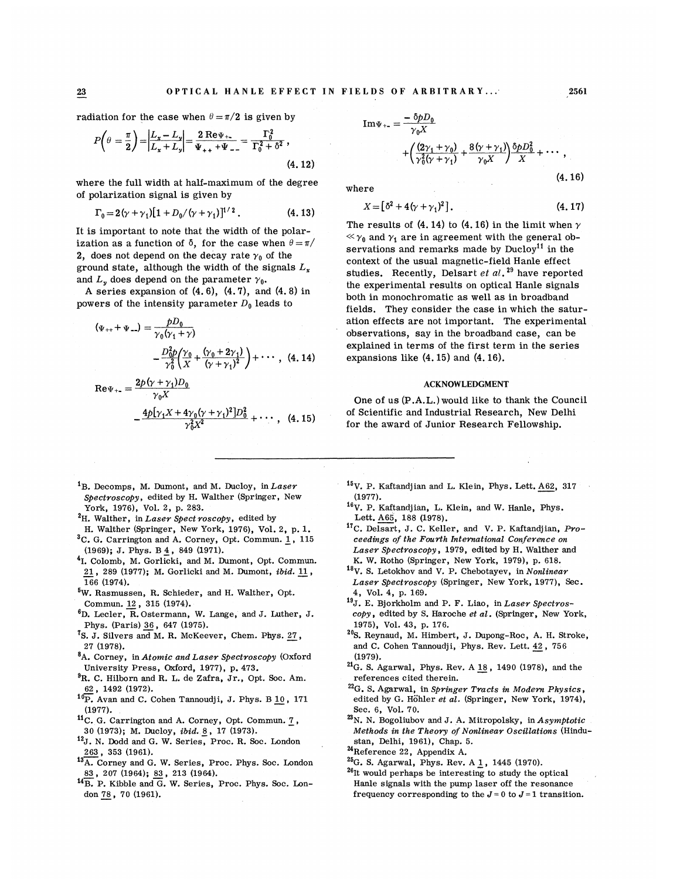radiation for the case when  $\theta = \pi/2$  is given by

$$
P\left(\theta = \frac{\pi}{2}\right) = \left|\frac{L_x - L_y}{L_x + L_y}\right| = \frac{2 \text{ Re}\,\Psi_{+}}{\Psi_{++} + \Psi_{--}} = \frac{\Gamma_0^2}{\Gamma_0^2 + \delta^2},\tag{4.12}
$$

where the full width at half-maximum of the degree of polarization signal is given by

$$
\Gamma_0 = 2(\gamma + \gamma_1)[1 + D_0/(\gamma + \gamma_1)]^{1/2}.
$$
 (4.13)

It is important to note that the width of the polarization as a function of  $\delta$ , for the case when  $\theta = \pi/$ 2, does not depend on the decay rate  $\gamma_0$  of the ground state, although the width of the signals  $L<sub>x</sub>$ and  $L<sub>v</sub>$  does depend on the parameter  $\gamma_0$ .

A series expansion of  $(4.6)$ ,  $(4.7)$ , and  $(4.8)$  in

powers of the intensity parameter 
$$
D_0
$$
 leads to  
\n
$$
(\Psi_{++} + \Psi_{--}) = \frac{pD_0}{\gamma_0(\gamma_1 + \gamma)}
$$
\n
$$
-\frac{D_0^2 p}{\gamma_0^2} \left(\frac{\gamma_0}{X} + \frac{(\gamma_0 + 2\gamma_1)}{(\gamma + \gamma_1)^2}\right) + \cdots, \quad (4.14)
$$

$$
\text{Re}\Psi_{+} = \frac{2p(\gamma + \gamma_1)D_0}{\gamma_0 X} - \frac{4p[\gamma_1 X + 4\gamma_0(\gamma + \gamma_1)^2]D_0^2}{\gamma_0^2 X^2} + \cdots, \quad (4.15)
$$

- ${}^{1}$ B. Decomps, M. Dumont, and M. Ducloy, in Laser Spectroscopy, edited by H. Walther (Springer, New York, 1976), Vol. 2, p. 283.
- ${}^{2}$ H. Walther, in Laser Spectroscopy, edited by
- H. Walther (Springer, New York, 1976), Vol. 2, p. l.  $C. G.$  Carrington and A. Corney, Opt. Commun. 1, 115
- (1969);J. Phys. B 4, <sup>849</sup> (1971). <sup>4</sup>I. Colomb, M. Gorlicki, and M. Dumont, Opt. Commun. 21, 289 (1977); M. Gorlicki and M. Dumont, ibid. 11, 166 (1974).
- W. Rasmussen, R. Schieder, and H. Walther, Opt. Commun. 12, 315 (1974).
- ${}^6D.$  Lecler, R. Ostermann, W. Lange, and J. Luther, J. Phys. (Paris) 36, 647 {1975).
- <sup>7</sup>S. J. Silvers and M. R. McKeever, Chem. Phys. 27, 27 (1978).
- <sup>8</sup>A. Corney, in Atomic and Laser Spectroscopy (Oxford University Press, Oxford, 1977), p. 473.
- <sup>9</sup>R. C. Hilborn and R. L. de Zafra, Jr., Opt. Soc. Am. 62, 1492 (1972).
- $10\overline{P}$ . Avan and C. Cohen Tannoudji, J. Phys. B  $\underline{10}$ , 171 (1977).
- <sup>11</sup>C. G. Carrington and A. Corney, Opt. Commun. 7, 30 (1973); M. Ducloy, *ibid.* 8, 17 (1973).
- <sup>12</sup>J. N. Dodd and G. W. Series, Proc. R. Soc. London 263, 353 (1961).
- 13A. Corney and G. W. Series, Proc. Phys. Soc. London 83, 207 (1964); 83, 213 (1964).
- 4B. P. Kibble and G. W. Series, Proc. Phys. Soc. London 78, 70 (1961).

Im
$$
\Psi_{+-}
$$
 =  $\frac{-\delta pD_0}{\gamma_0 X}$   
+  $\left(\frac{(2\gamma_1 + \gamma_0)}{\gamma_0^2(\gamma + \gamma_1)} + \frac{8(\gamma + \gamma_1)}{\gamma_0 X}\right) \frac{\delta pD_0^2}{X} + \cdots$ , (4.16)

where

$$
X = [62 + 4(\gamma + \gamma_1)^2].
$$
 (4.17)

The results of (4.14) to (4.16) in the limit when  $\gamma$  $\ll \gamma_0$  and  $\gamma_1$  are in agreement with the general observations and remarks made by  $Ducloy<sup>11</sup>$  in the context of the usual magnetic-field Hanle effect studies. Recently, Delsart et  $al.^{29}$  have reporte the experimental results on optical Hanle signals both in monochromatic as well as in broadband fields. They consider the case in which the saturation effects are not important. The experimental observations, say in the broadband case, can be explained in terms of the first term in the series expansions like (4. 15) and (4. 16).

## ACKNOWLEDGMENT

One of us (P.A.L.) would like to thank the Council of Scientific and Industrial Research, New Delhi for the award of Junior Research Fellowship.

- $^{15}$ V. P. Kaftandjian and L. Klein, Phys. Lett. A62, 317 (1977).
- $16V$ . P. Kaftandjian, L. Klein, and W. Hanle, Phys. Lett. A65, 188 (1978).
- <sup>17</sup>C. Delsart, J. C. Keller, and V. P. Kaftandjian, Proceedings of the Fourth International Conference on Laser Spectroscopy, 1979, edited by H. Walther and K. W. Rotho (Springer, New York, 1979), p. 618.
- $18V$ . S. Letokhov and V. P. Chebotayev, in Nonlinear Laser Spectroscopy {Springer, New York, 1977), Sec. 4, Vol. 4, p. 169.
- <sup>19</sup>J. E. Bjorkholm and P. F. Liao, in Laser Spectroscopy, edited by S. Haroche et al. (Springer, New York, 1975), Vol. 43, p. 176.
- <sup>20</sup>S. Reynaud, M. Himbert, J. Dupong-Roc, A. H. Stroke, and C. Cohen Tannoudji, Phys. Rev. Lett. 42, 756 (1979).
- $^{21}$ G. S. Agarwal, Phys. Rev. A  $18$ , 1490 (1978), and the references cited therein.
- $22G$ . S. Agarwal, in Springer Tracts in Modern Physics, edited by G. Höhler et al. (Springer, New York, 1974), Sec. 6, Vol. 70.
- $^{23}$ N. N. Bogoliubov and J. A. Mitropolsky, in Asymptotic Methods in the Theory of Nonlinear Oscillations (Hindustan, Delhi, 1961), Chap. 5.
- <sup>24</sup>Reference 22, Appendix A.
- $^{25}$ G. S. Agarwal, Phys. Rev. A  $1$ , 1445 (1970).
- $^{26}$ It would perhaps be interesting to study the optical Hanle signals with the pump laser off the resonance frequency corresponding to the  $J=0$  to  $J=1$  transition.